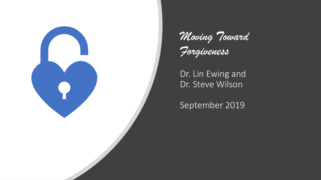



Dr. Lin Ewing and Dr. Steve Wilson

September 2019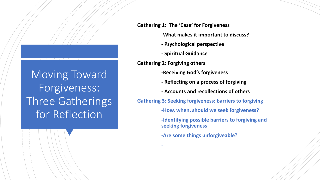Moving Toward Forgiveness: Three Gatherings for Reflection

**Gathering 1: The 'Case' for Forgiveness -What makes it important to discuss? - Psychological perspective - Spiritual Guidance Gathering 2: Forgiving others -Receiving God's forgiveness - Reflecting on a process of forgiving - Accounts and recollections of others Gathering 3: Seeking forgiveness; barriers to forgiving -How, when, should we seek forgiveness? -Identifying possible barriers to forgiving and seeking forgiveness -Are some things unforgiveable?**

**-**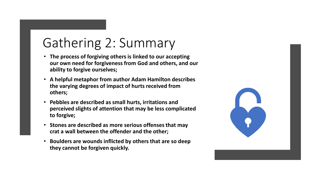# Gathering 2: Summary

- **The process of forgiving others is linked to our accepting our own need for forgiveness from God and others, and our ability to forgive ourselves;**
- **A helpful metaphor from author Adam Hamilton describes the varying degrees of impact of hurts received from others;**
- **Pebbles are described as small hurts, irritations and perceived slights of attention that may be less complicated to forgive;**
- **Stones are described as more serious offenses that may crat a wall between the offender and the other;**
- **Boulders are wounds inflicted by others that are so deep they cannot be forgiven quickly.**

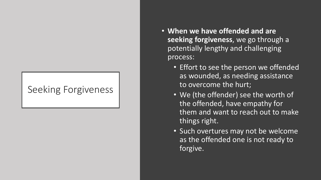### Seeking Forgiveness

- **When we have offended and are seeking forgiveness**, we go through a potentially lengthy and challenging process:
	- Effort to see the person we offended as wounded, as needing assistance to overcome the hurt;
	- We (the offender) see the worth of the offended, have empathy for them and want to reach out to make things right.
	- Such overtures may not be welcome as the offended one is not ready to forgive.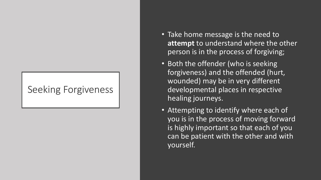### Seeking Forgiveness

- Take home message is the need to **attempt** to understand where the other person is in the process of forgiving;
- Both the offender (who is seeking forgiveness) and the offended (hurt, wounded) may be in very different developmental places in respective healing journeys.
- Attempting to identify where each of you is in the process of moving forward is highly important so that each of you can be patient with the other and with yourself.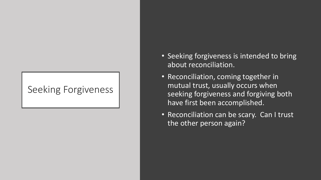### Seeking Forgiveness

- Seeking forgiveness is intended to bring about reconciliation.
- Reconciliation, coming together in mutual trust, usually occurs when seeking forgiveness and forgiving both have first been accomplished.
- Reconciliation can be scary. Can I trust the other person again?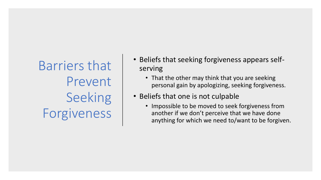Barriers that Prevent Seeking Forgiveness

- Beliefs that seeking forgiveness appears selfserving
	- That the other may think that you are seeking personal gain by apologizing, seeking forgiveness.
- Beliefs that one is not culpable
	- Impossible to be moved to seek forgiveness from another if we don't perceive that we have done anything for which we need to/want to be forgiven.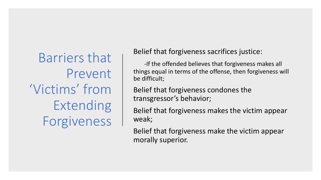Barriers that Prevent 'Victims' from Extending Forgiveness

Belief that forgiveness sacrifices justice:

-If the offended believes that forgiveness makes all things equal in terms of the offense, then forgiveness will be difficult;

Belief that forgiveness condones the transgressor's behavior;

Belief that forgiveness makes the victim appear weak;

Belief that forgiveness make the victim appear morally superior.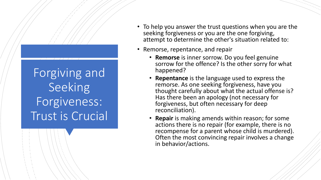Forgiving and Seeking Forgiveness: Trust is Crucial

- To help you answer the trust questions when you are the seeking forgiveness or you are the one forgiving, attempt to determine the other's situation related to:
- Remorse, repentance, and repair
	- **Remorse** is inner sorrow. Do you feel genuine sorrow for the offence? Is the other sorry for what happened?
	- **Repentance** is the language used to express the remorse. As one seeking forgiveness, have you thought carefully about what the actual offense is? Has there been an apology (not necessary for forgiveness, but often necessary for deep reconciliation).
	- **Repair** is making amends within reason; for some actions there is no repair (for example, there is no recompense for a parent whose child is murdered). Often the most convincing repair involves a change in behavior/actions.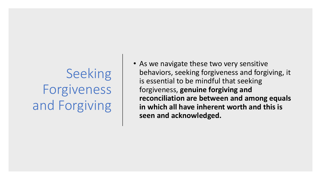# Seeking Forgiveness and Forgiving

• As we navigate these two very sensitive behaviors, seeking forgiveness and forgiving, it is essential to be mindful that seeking forgiveness, **genuine forgiving and reconciliation are between and among equals in which all have inherent worth and this is seen and acknowledged.**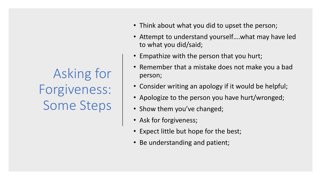Asking for Forgiveness: Some Steps

- Think about what you did to upset the person;
- Attempt to understand yourself….what may have led to what you did/said;
- Empathize with the person that you hurt;
- Remember that a mistake does not make you a bad person;
- Consider writing an apology if it would be helpful;
- Apologize to the person you have hurt/wronged;
- Show them you've changed;
- Ask for forgiveness;
- Expect little but hope for the best;
- Be understanding and patient;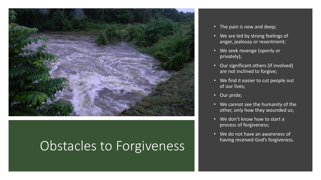

# Obstacles to Forgiveness

- The pain is new and deep;
- We are led by strong feelings of anger, jealousy or resentment;
- We seek revenge (openly or privately);
- Our significant others (if involved) are not inclined to forgive;
- We find it easier to cut people out of our lives;
- Our pride;
- We cannot see the humanity of the other, only how they wounded us;
- We don't know how to start a process of forgiveness;
- We do not have an awareness of having received God's forgiveness.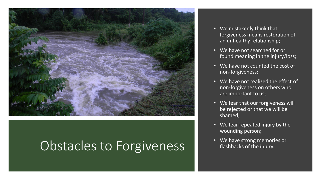

## Obstacles to Forgiveness

- We mistakenly think that forgiveness means restoration of an unhealthy relationship;
- We have not searched for or found meaning in the injury/loss;
- We have not counted the cost of non-forgiveness;
- We have not realized the effect of non-forgiveness on others who are important to us;
- We fear that our forgiveness will be rejected or that we will be shamed;
- We fear repeated injury by the wounding person;
- We have strong memories or flashbacks of the injury.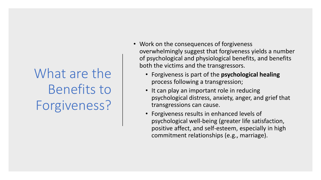# What are the Benefits to Forgiveness?

- Work on the consequences of forgiveness overwhelmingly suggest that forgiveness yields a number of psychological and physiological benefits, and benefits both the victims and the transgressors.
	- Forgiveness is part of the **psychological healing**  process following a transgression;
	- It can play an important role in reducing psychological distress, anxiety, anger, and grief that transgressions can cause.
	- Forgiveness results in enhanced levels of psychological well-being (greater life satisfaction, positive affect, and self-esteem, especially in high commitment relationships (e.g., marriage).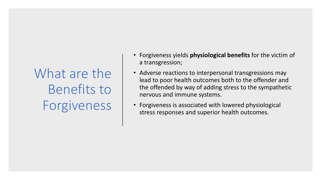What are the Benefits to Forgiveness

- Forgiveness yields **physiological benefits** for the victim of a transgression;
- Adverse reactions to interpersonal transgressions may lead to poor health outcomes both to the offender and the offended by way of adding stress to the sympathetic nervous and immune systems.
- Forgiveness is associated with lowered physiological stress responses and superior health outcomes.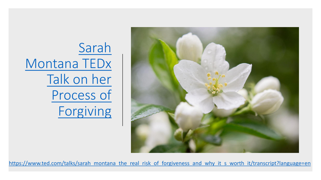Sarah [Montana TEDx](https://www.ted.com/talks/sarah_montana_the_real_risk_of_forgiveness_and_why_it_s_worth_it/transcript?language=en)  Talk on her Process of Forgiving



[https://www.ted.com/talks/sarah\\_montana\\_the\\_real\\_risk\\_of\\_forgiveness\\_and\\_why\\_it\\_s\\_worth\\_it/transcript?language=en](https://www.ted.com/talks/sarah_montana_the_real_risk_of_forgiveness_and_why_it_s_worth_it/transcript?language=en)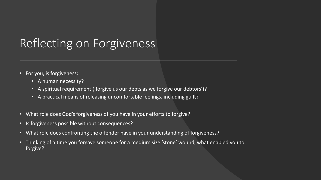## Reflecting on Forgiveness

- For you, is forgiveness:
	- A human necessity?
	- A spiritual requirement ('forgive us our debts as we forgive our debtors')?
	- A practical means of releasing uncomfortable feelings, including guilt?
- What role does God's forgiveness of you have in your efforts to forgive?
- Is forgiveness possible without consequences?
- What role does confronting the offender have in your understanding of forgiveness?
- Thinking of a time you forgave someone for a medium size 'stone' wound, what enabled you to forgive?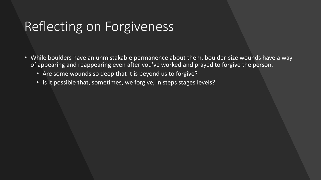# Reflecting on Forgiveness

- While boulders have an unmistakable permanence about them, boulder-size wounds have a way of appearing and reappearing even after you've worked and prayed to forgive the person.
	- Are some wounds so deep that it is beyond us to forgive?
	- Is it possible that, sometimes, we forgive, in steps stages levels?